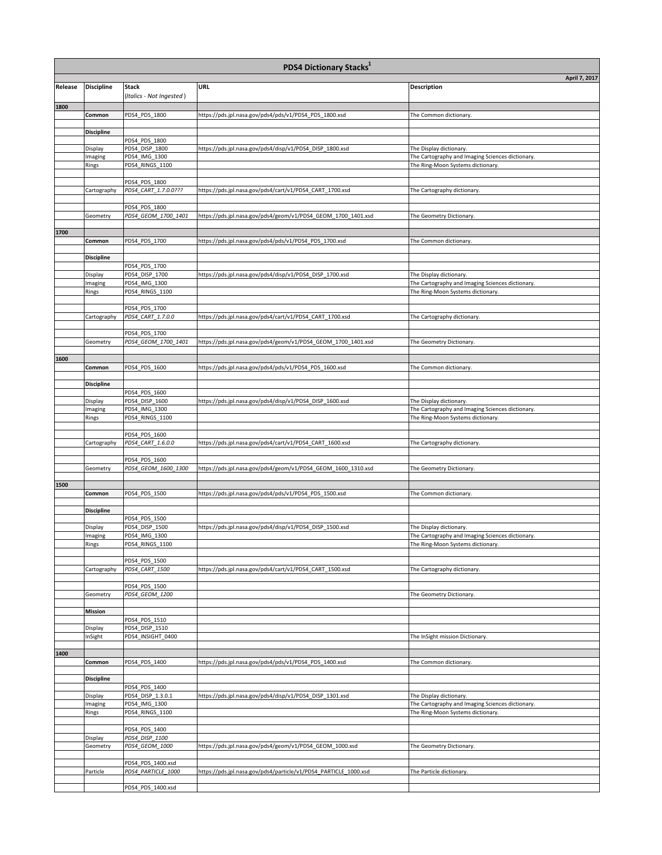| <b>PDS4 Dictionary Stacks</b> <sup>1</sup> |                     |                                         |                                                                  |                                                                                       |  |  |  |
|--------------------------------------------|---------------------|-----------------------------------------|------------------------------------------------------------------|---------------------------------------------------------------------------------------|--|--|--|
|                                            |                     |                                         |                                                                  | April 7, 2017                                                                         |  |  |  |
| Release                                    | <b>Discipline</b>   | Stack<br>(Italics - Not Ingested)       | URL                                                              | <b>Description</b>                                                                    |  |  |  |
| 1800                                       |                     |                                         |                                                                  |                                                                                       |  |  |  |
|                                            | Common              | PDS4_PDS_1800                           | https://pds.jpl.nasa.gov/pds4/pds/v1/PDS4_PDS_1800.xsd           | The Common dictionary.                                                                |  |  |  |
|                                            |                     |                                         |                                                                  |                                                                                       |  |  |  |
|                                            | <b>Discipline</b>   | PDS4_PDS_1800                           |                                                                  |                                                                                       |  |  |  |
|                                            | Display             | PDS4_DISP_1800                          | https://pds.jpl.nasa.gov/pds4/disp/v1/PDS4_DISP_1800.xsd         | The Display dictionary.                                                               |  |  |  |
|                                            | Imaging             | PDS4_IMG_1300                           |                                                                  | The Cartography and Imaging Sciences dictionary.                                      |  |  |  |
|                                            | Rings               | PDS4_RINGS_1100                         |                                                                  | The Ring-Moon Systems dictionary.                                                     |  |  |  |
|                                            |                     | PDS4_PDS_1800                           |                                                                  |                                                                                       |  |  |  |
|                                            | Cartography         | PDS4_CART_1.7.0.0???                    | https://pds.jpl.nasa.gov/pds4/cart/v1/PDS4_CART_1700.xsd         | The Cartography dictionary.                                                           |  |  |  |
|                                            |                     | PDS4_PDS_1800                           |                                                                  |                                                                                       |  |  |  |
|                                            | Geometry            | PDS4_GEOM_1700_1401                     | https://pds.jpl.nasa.gov/pds4/geom/v1/PDS4_GEOM_1700_1401.xsd    | The Geometry Dictionary.                                                              |  |  |  |
|                                            |                     |                                         |                                                                  |                                                                                       |  |  |  |
| 1700                                       | Common              | PDS4_PDS_1700                           | https://pds.jpl.nasa.gov/pds4/pds/v1/PDS4_PDS_1700.xsd           | The Common dictionary.                                                                |  |  |  |
|                                            |                     |                                         |                                                                  |                                                                                       |  |  |  |
|                                            | <b>Discipline</b>   |                                         |                                                                  |                                                                                       |  |  |  |
|                                            | Display             | PDS4_PDS_1700<br>PDS4_DISP_1700         | https://pds.jpl.nasa.gov/pds4/disp/v1/PDS4_DISP_1700.xsd         | The Display dictionary.                                                               |  |  |  |
|                                            | Imaging             | PDS4_IMG_1300                           |                                                                  | The Cartography and Imaging Sciences dictionary.                                      |  |  |  |
|                                            | Rings               | PDS4_RINGS_1100                         |                                                                  | The Ring-Moon Systems dictionary.                                                     |  |  |  |
|                                            |                     | PDS4_PDS_1700                           |                                                                  |                                                                                       |  |  |  |
|                                            | Cartography         | PDS4_CART_1.7.0.0                       | https://pds.jpl.nasa.gov/pds4/cart/v1/PDS4_CART_1700.xsd         | The Cartography dictionary.                                                           |  |  |  |
|                                            |                     |                                         |                                                                  |                                                                                       |  |  |  |
|                                            | Geometry            | PDS4_PDS_1700<br>PDS4_GEOM_1700_1401    | https://pds.jpl.nasa.gov/pds4/geom/v1/PDS4_GEOM_1700_1401.xsd    | The Geometry Dictionary.                                                              |  |  |  |
|                                            |                     |                                         |                                                                  |                                                                                       |  |  |  |
| 1600                                       |                     |                                         |                                                                  |                                                                                       |  |  |  |
|                                            | Common              | PDS4_PDS_1600                           | https://pds.jpl.nasa.gov/pds4/pds/v1/PDS4_PDS_1600.xsd           | The Common dictionary.                                                                |  |  |  |
|                                            | <b>Discipline</b>   |                                         |                                                                  |                                                                                       |  |  |  |
|                                            |                     | PDS4_PDS_1600                           |                                                                  |                                                                                       |  |  |  |
|                                            | Display<br>Imaging  | PDS4_DISP_1600<br>PDS4_IMG_1300         | https://pds.jpl.nasa.gov/pds4/disp/v1/PDS4_DISP_1600.xsd         | The Display dictionary.<br>The Cartography and Imaging Sciences dictionary.           |  |  |  |
|                                            | Rings               | PDS4_RINGS_1100                         |                                                                  | The Ring-Moon Systems dictionary.                                                     |  |  |  |
|                                            |                     |                                         |                                                                  |                                                                                       |  |  |  |
|                                            | Cartography         | PDS4_PDS_1600<br>PDS4_CART_1.6.0.0      | https://pds.jpl.nasa.gov/pds4/cart/v1/PDS4_CART_1600.xsd         | The Cartography dictionary.                                                           |  |  |  |
|                                            |                     |                                         |                                                                  |                                                                                       |  |  |  |
|                                            |                     | PDS4_PDS_1600                           |                                                                  |                                                                                       |  |  |  |
|                                            | Geometry            | PDS4_GEOM_1600_1300                     | https://pds.jpl.nasa.gov/pds4/geom/v1/PDS4_GEOM_1600_1310.xsd    | The Geometry Dictionary.                                                              |  |  |  |
| 1500                                       |                     |                                         |                                                                  |                                                                                       |  |  |  |
|                                            | Common              | PDS4_PDS_1500                           | https://pds.jpl.nasa.gov/pds4/pds/v1/PDS4_PDS_1500.xsd           | The Common dictionary.                                                                |  |  |  |
|                                            | <b>Discipline</b>   |                                         |                                                                  |                                                                                       |  |  |  |
|                                            |                     | PDS4_PDS_1500                           |                                                                  |                                                                                       |  |  |  |
|                                            | Display             | PDS4_DISP_1500                          | https://pds.jpl.nasa.gov/pds4/disp/v1/PDS4_DISP_1500.xsd         | The Display dictionary.                                                               |  |  |  |
|                                            | Imaging<br>Rings    | PDS4_IMG_1300<br><b>PDS4 RINGS 1100</b> |                                                                  | The Cartography and Imaging Sciences dictionary.<br>The Ring-Moon Systems dictionary. |  |  |  |
|                                            |                     |                                         |                                                                  |                                                                                       |  |  |  |
|                                            |                     | PDS4_PDS_1500                           | https://pds.jpl.nasa.gov/pds4/cart/v1/PDS4_CART_1500.xsd         |                                                                                       |  |  |  |
|                                            | Cartography         | PDS4_CART_1500                          |                                                                  | The Cartography dictionary.                                                           |  |  |  |
|                                            |                     | PDS4_PDS_1500                           |                                                                  |                                                                                       |  |  |  |
|                                            | Geometry            | PDS4_GEOM_1200                          |                                                                  | The Geometry Dictionary.                                                              |  |  |  |
|                                            | <b>Mission</b>      |                                         |                                                                  |                                                                                       |  |  |  |
|                                            |                     | PDS4_PDS_1510                           |                                                                  |                                                                                       |  |  |  |
|                                            | Display             | PDS4_DISP_1510                          |                                                                  |                                                                                       |  |  |  |
|                                            | InSight             | PDS4_INSIGHT_0400                       |                                                                  | The InSight mission Dictionary.                                                       |  |  |  |
| 1400                                       |                     |                                         |                                                                  |                                                                                       |  |  |  |
|                                            | Common              | PDS4_PDS_1400                           | https://pds.jpl.nasa.gov/pds4/pds/v1/PDS4_PDS_1400.xsd           | The Common dictionary.                                                                |  |  |  |
|                                            | <b>Discipline</b>   |                                         |                                                                  |                                                                                       |  |  |  |
|                                            |                     | PDS4_PDS_1400                           |                                                                  |                                                                                       |  |  |  |
|                                            | Display             | PDS4_DISP_1.3.0.1                       | https://pds.jpl.nasa.gov/pds4/disp/v1/PDS4_DISP_1301.xsd         | The Display dictionary.                                                               |  |  |  |
|                                            | Imaging<br>Rings    | PDS4_IMG_1300<br>PDS4_RINGS_1100        |                                                                  | The Cartography and Imaging Sciences dictionary.<br>The Ring-Moon Systems dictionary. |  |  |  |
|                                            |                     |                                         |                                                                  |                                                                                       |  |  |  |
|                                            |                     | PDS4_PDS_1400                           |                                                                  |                                                                                       |  |  |  |
|                                            | Display<br>Geometry | PDS4_DISP_1100<br>PDS4_GEOM_1000        | https://pds.jpl.nasa.gov/pds4/geom/v1/PDS4_GEOM_1000.xsd         | The Geometry Dictionary.                                                              |  |  |  |
|                                            |                     |                                         |                                                                  |                                                                                       |  |  |  |
|                                            |                     | PDS4_PDS_1400.xsd                       |                                                                  |                                                                                       |  |  |  |
|                                            | Particle            | PDS4_PARTICLE_1000                      | https://pds.jpl.nasa.gov/pds4/particle/v1/PDS4_PARTICLE_1000.xsd | The Particle dictionary.                                                              |  |  |  |
|                                            |                     | PDS4_PDS_1400.xsd                       |                                                                  |                                                                                       |  |  |  |